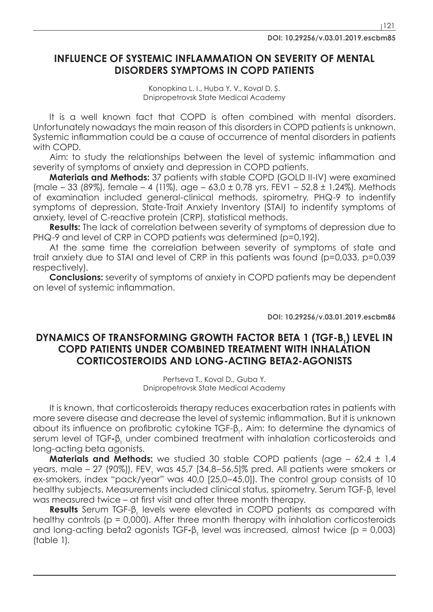## **INFLUENCE OF SYSTEMIC INFLAMMATION ON SEVERITY OF MENTAL DISORDERS SYMPTOMS IN COPD PATIENTS**

Konopkina L. I., Huba Y. V., Koval D. S. Dnipropetrovsk State Medical Academy

It is a well known fact that COPD is often combined with mental disorders. Unfortunately nowadays the main reason of this disorders in COPD patients is unknown. Systemic inflammation could be a cause of occurrence of mental disorders in patients with COPD.

Aim: to study the relationships between the level of systemic inflammation and severity of symptoms of anxiety and depression in COPD patients.

**Materials and Methods:** 37 patients with stable COPD (GOLD II-IV) were examined (male – 33 (89%), female – 4 (11%), age – 63,0 ± 0,78 yrs, FEV1 – 52,8 ± 1,24%). Methods of examination included general-clinical methods, spirometry, PHQ-9 to indentify symptoms of depression, State-Trait Anxiety Inventory (STAI) to indentify symptoms of anxiety, level of C-reactive protein (CRP), statistical methods.

**Results:** The lack of correlation between severity of symptoms of depression due to PHQ-9 and level of CRP in COPD patients was determined (p=0,192).

At the same time the correlation between severity of symptoms of state and trait anxiety due to STAI and level of CRP in this patients was found (p=0,033, p=0,039 respectively).

**Conclusions:** severity of symptoms of anxiety in COPD patients may be dependent on level of systemic inflammation.

**DOI: 10.29256/v.03.01.2019.escbm86**

## **DYNAMICS OF TRANSFORMING GROWTH FACTOR BETA 1 (TGF-B<sub>1</sub>) LEVEL IN COPD PATIENTS UNDER COMBINED TREATMENT WITH INHALATION CORTICOSTEROIDS AND LONG-ACTING BETA2-AGONISTS**

Pertseva T., Коval D., Guba Y. Dnipropetrovsk State Medical Academy

It is known, that corticosteroids therapy reduces exacerbation rates in patients with more severe disease and decrease the level of systemic inflammation. But it is unknown about its influence on profibrotic cytokine TGF-β<sub>1</sub>. Aim: to determine the dynamics of serum level of TGF-β<sub>1</sub> under combined treatment with inhalation corticosteroids and long-acting beta agonists.

**Materials and Methods:** we studied 30 stable COPD patients (age – 62,4 ± 1,4) years, male – 27 (90%)), FEV<sub>1</sub> was 45,7 [34,8–56,5]% pred. All patients were smokers or ex-smokers, index "pack/year" was 40,0 [25,0–45,0]). The control group consists of 10 healthy subjects. Measurements included clinical status, spirometry. Serum TGF- $\beta_{_1}$  level was measured twice – at first visit and after three month therapy.

**Results** Serum TGF-β<sub>1</sub> levels were elevated in COPD patients as compared with healthy controls (p = 0,000). After three month therapy with inhalation corticosteroids and long-acting beta2 agonists TGF-β<sub>1</sub> level was increased, almost twice (p = 0,003) (table 1).